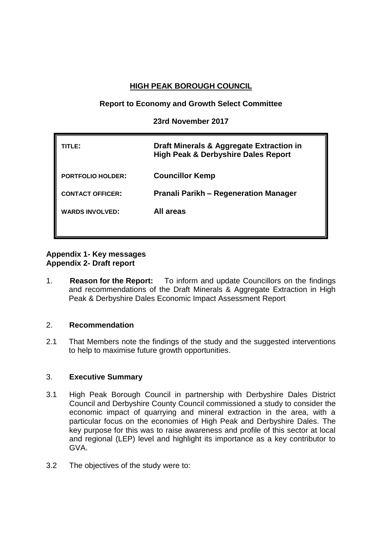# **HIGH PEAK BOROUGH COUNCIL**

## **Report to Economy and Growth Select Committee**

## **23rd November 2017**

| TITLE:                   | Draft Minerals & Aggregate Extraction in<br>High Peak & Derbyshire Dales Report |
|--------------------------|---------------------------------------------------------------------------------|
| <b>PORTFOLIO HOLDER:</b> | <b>Councillor Kemp</b>                                                          |
| <b>CONTACT OFFICER:</b>  | <b>Pranali Parikh – Regeneration Manager</b>                                    |
| <b>WARDS INVOLVED:</b>   | All areas                                                                       |
|                          |                                                                                 |

## **Appendix 1- Key messages Appendix 2- Draft report**

1. **Reason for the Report:** To inform and update Councillors on the findings and recommendations of the Draft Minerals & Aggregate Extraction in High Peak & Derbyshire Dales Economic Impact Assessment Report

## 2. **Recommendation**

2.1 That Members note the findings of the study and the suggested interventions to help to maximise future growth opportunities.

## 3. **Executive Summary**

- 3.1 High Peak Borough Council in partnership with Derbyshire Dales District Council and Derbyshire County Council commissioned a study to consider the economic impact of quarrying and mineral extraction in the area, with a particular focus on the economies of High Peak and Derbyshire Dales. The key purpose for this was to raise awareness and profile of this sector at local and regional (LEP) level and highlight its importance as a key contributor to GVA.
- 3.2 The objectives of the study were to: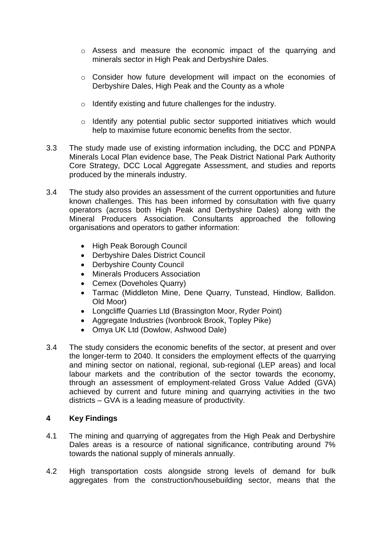- o Assess and measure the economic impact of the quarrying and minerals sector in High Peak and Derbyshire Dales.
- o Consider how future development will impact on the economies of Derbyshire Dales, High Peak and the County as a whole
- o Identify existing and future challenges for the industry.
- o Identify any potential public sector supported initiatives which would help to maximise future economic benefits from the sector.
- 3.3 The study made use of existing information including, the DCC and PDNPA Minerals Local Plan evidence base, The Peak District National Park Authority Core Strategy, DCC Local Aggregate Assessment, and studies and reports produced by the minerals industry.
- 3.4 The study also provides an assessment of the current opportunities and future known challenges. This has been informed by consultation with five quarry operators (across both High Peak and Derbyshire Dales) along with the Mineral Producers Association. Consultants approached the following organisations and operators to gather information:
	- High Peak Borough Council
	- Derbyshire Dales District Council
	- Derbyshire County Council
	- Minerals Producers Association
	- Cemex (Doveholes Quarry)
	- Tarmac (Middleton Mine, Dene Quarry, Tunstead, Hindlow, Ballidon. Old Moor)
	- Longcliffe Quarries Ltd (Brassington Moor, Ryder Point)
	- Aggregate Industries (Ivonbrook Brook, Topley Pike)
	- Omya UK Ltd (Dowlow, Ashwood Dale)
- 3.4 The study considers the economic benefits of the sector, at present and over the longer-term to 2040. It considers the employment effects of the quarrying and mining sector on national, regional, sub-regional (LEP areas) and local labour markets and the contribution of the sector towards the economy, through an assessment of employment-related Gross Value Added (GVA) achieved by current and future mining and quarrying activities in the two districts – GVA is a leading measure of productivity.

## **4 Key Findings**

- 4.1 The mining and quarrying of aggregates from the High Peak and Derbyshire Dales areas is a resource of national significance, contributing around 7% towards the national supply of minerals annually.
- 4.2 High transportation costs alongside strong levels of demand for bulk aggregates from the construction/housebuilding sector, means that the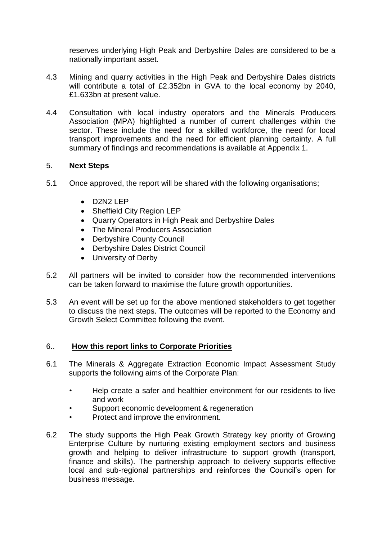reserves underlying High Peak and Derbyshire Dales are considered to be a nationally important asset.

- 4.3 Mining and quarry activities in the High Peak and Derbyshire Dales districts will contribute a total of £2.352bn in GVA to the local economy by 2040, £1.633bn at present value.
- 4.4 Consultation with local industry operators and the Minerals Producers Association (MPA) highlighted a number of current challenges within the sector. These include the need for a skilled workforce, the need for local transport improvements and the need for efficient planning certainty. A full summary of findings and recommendations is available at Appendix 1.

## 5. **Next Steps**

- 5.1 Once approved, the report will be shared with the following organisations;
	- $\bullet$  D2N2 LEP
	- Sheffield City Region LEP
	- Quarry Operators in High Peak and Derbyshire Dales
	- The Mineral Producers Association
	- Derbyshire County Council
	- Derbyshire Dales District Council
	- University of Derby
- 5.2 All partners will be invited to consider how the recommended interventions can be taken forward to maximise the future growth opportunities.
- 5.3 An event will be set up for the above mentioned stakeholders to get together to discuss the next steps. The outcomes will be reported to the Economy and Growth Select Committee following the event.

## 6.. **How this report links to Corporate Priorities**

- 6.1 The Minerals & Aggregate Extraction Economic Impact Assessment Study supports the following aims of the Corporate Plan:
	- Help create a safer and healthier environment for our residents to live and work
	- Support economic development & regeneration
	- Protect and improve the environment.
- 6.2 The study supports the High Peak Growth Strategy key priority of Growing Enterprise Culture by nurturing existing employment sectors and business growth and helping to deliver infrastructure to support growth (transport, finance and skills). The partnership approach to delivery supports effective local and sub-regional partnerships and reinforces the Council's open for business message.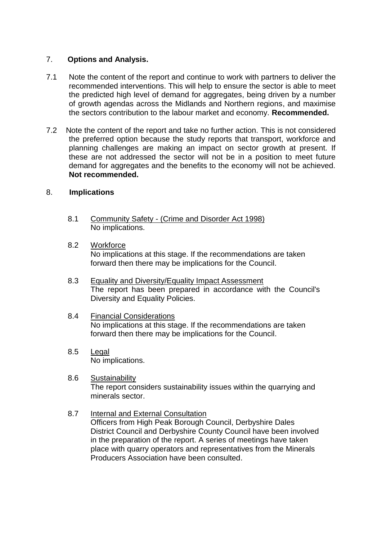## 7. **Options and Analysis.**

- 7.1 Note the content of the report and continue to work with partners to deliver the recommended interventions. This will help to ensure the sector is able to meet the predicted high level of demand for aggregates, being driven by a number of growth agendas across the Midlands and Northern regions, and maximise the sectors contribution to the labour market and economy. **Recommended.**
- 7.2Note the content of the report and take no further action. This is not considered the preferred option because the study reports that transport, workforce and planning challenges are making an impact on sector growth at present. If these are not addressed the sector will not be in a position to meet future demand for aggregates and the benefits to the economy will not be achieved. **Not recommended.**

## 8. **Implications**

- 8.1 Community Safety (Crime and Disorder Act 1998) No implications.
- 8.2 Workforce No implications at this stage. If the recommendations are taken forward then there may be implications for the Council.
- 8.3 Equality and Diversity/Equality Impact Assessment The report has been prepared in accordance with the Council's Diversity and Equality Policies.
- 8.4 Financial Considerations No implications at this stage. If the recommendations are taken forward then there may be implications for the Council.
- 8.5 Legal No implications.
- 8.6 Sustainability The report considers sustainability issues within the quarrying and minerals sector.
- 8.7 Internal and External Consultation Officers from High Peak Borough Council, Derbyshire Dales District Council and Derbyshire County Council have been involved in the preparation of the report. A series of meetings have taken place with quarry operators and representatives from the Minerals Producers Association have been consulted.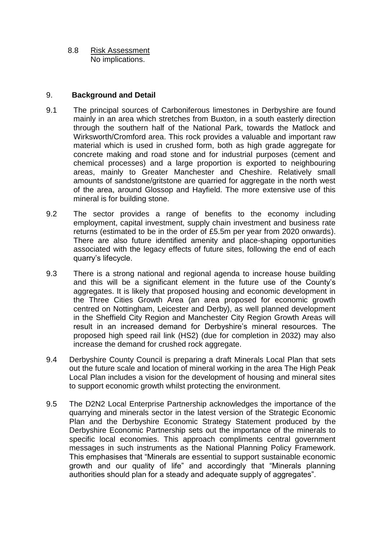8.8 Risk Assessment No implications.

## 9. **Background and Detail**

- 9.1 The principal sources of Carboniferous limestones in Derbyshire are found mainly in an area which stretches from Buxton, in a south easterly direction through the southern half of the National Park, towards the Matlock and Wirksworth/Cromford area. This rock provides a valuable and important raw material which is used in crushed form, both as high grade aggregate for concrete making and road stone and for industrial purposes (cement and chemical processes) and a large proportion is exported to neighbouring areas, mainly to Greater Manchester and Cheshire. Relatively small amounts of sandstone/gritstone are quarried for aggregate in the north west of the area, around Glossop and Hayfield. The more extensive use of this mineral is for building stone.
- 9.2 The sector provides a range of benefits to the economy including employment, capital investment, supply chain investment and business rate returns (estimated to be in the order of £5.5m per year from 2020 onwards). There are also future identified amenity and place-shaping opportunities associated with the legacy effects of future sites, following the end of each quarry's lifecycle.
- 9.3 There is a strong national and regional agenda to increase house building and this will be a significant element in the future use of the County's aggregates. It is likely that proposed housing and economic development in the Three Cities Growth Area (an area proposed for economic growth centred on Nottingham, Leicester and Derby), as well planned development in the Sheffield City Region and Manchester City Region Growth Areas will result in an increased demand for Derbyshire's mineral resources. The proposed high speed rail link (HS2) (due for completion in 2032) may also increase the demand for crushed rock aggregate.
- 9.4 Derbyshire County Council is preparing a draft Minerals Local Plan that sets out the future scale and location of mineral working in the area The High Peak Local Plan includes a vision for the development of housing and mineral sites to support economic growth whilst protecting the environment.
- 9.5 The D2N2 Local Enterprise Partnership acknowledges the importance of the quarrying and minerals sector in the latest version of the Strategic Economic Plan and the Derbyshire Economic Strategy Statement produced by the Derbyshire Economic Partnership sets out the importance of the minerals to specific local economies. This approach compliments central government messages in such instruments as the National Planning Policy Framework. This emphasises that "Minerals are essential to support sustainable economic growth and our quality of life" and accordingly that "Minerals planning authorities should plan for a steady and adequate supply of aggregates".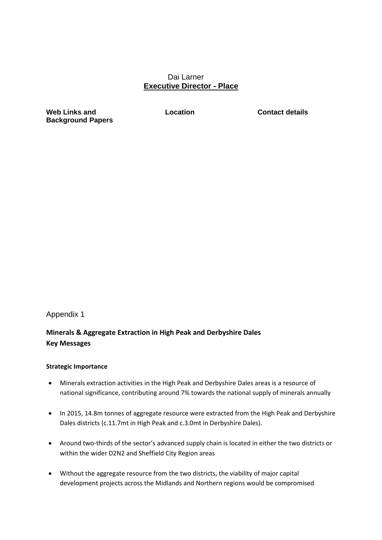### Dai Larner **Executive Director - Place**

**Web Links and Background Papers**

**Location Contact details**

### Appendix 1

## **Minerals & Aggregate Extraction in High Peak and Derbyshire Dales Key Messages**

#### **Strategic Importance**

- Minerals extraction activities in the High Peak and Derbyshire Dales areas is a resource of national significance, contributing around 7% towards the national supply of minerals annually
- In 2015, 14.8m tonnes of aggregate resource were extracted from the High Peak and Derbyshire Dales districts (c.11.7mt in High Peak and c.3.0mt in Derbyshire Dales).
- Around two-thirds of the sector's advanced supply chain is located in either the two districts or within the wider D2N2 and Sheffield City Region areas
- Without the aggregate resource from the two districts, the viability of major capital development projects across the Midlands and Northern regions would be compromised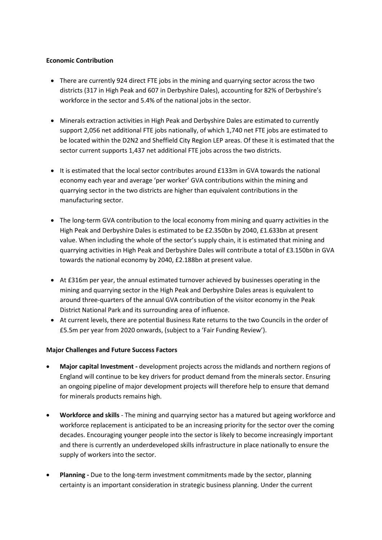#### **Economic Contribution**

- There are currently 924 direct FTE jobs in the mining and quarrying sector across the two districts (317 in High Peak and 607 in Derbyshire Dales), accounting for 82% of Derbyshire's workforce in the sector and 5.4% of the national jobs in the sector.
- Minerals extraction activities in High Peak and Derbyshire Dales are estimated to currently support 2,056 net additional FTE jobs nationally, of which 1,740 net FTE jobs are estimated to be located within the D2N2 and Sheffield City Region LEP areas. Of these it is estimated that the sector current supports 1,437 net additional FTE jobs across the two districts.
- It is estimated that the local sector contributes around £133m in GVA towards the national economy each year and average 'per worker' GVA contributions within the mining and quarrying sector in the two districts are higher than equivalent contributions in the manufacturing sector.
- The long-term GVA contribution to the local economy from mining and quarry activities in the High Peak and Derbyshire Dales is estimated to be £2.350bn by 2040, £1.633bn at present value. When including the whole of the sector's supply chain, it is estimated that mining and quarrying activities in High Peak and Derbyshire Dales will contribute a total of £3.150bn in GVA towards the national economy by 2040, £2.188bn at present value.
- At £316m per year, the annual estimated turnover achieved by businesses operating in the mining and quarrying sector in the High Peak and Derbyshire Dales areas is equivalent to around three-quarters of the annual GVA contribution of the visitor economy in the Peak District National Park and its surrounding area of influence.
- At current levels, there are potential Business Rate returns to the two Councils in the order of £5.5m per year from 2020 onwards, (subject to a 'Fair Funding Review').

### **Major Challenges and Future Success Factors**

- **Major capital Investment -** development projects across the midlands and northern regions of England will continue to be key drivers for product demand from the minerals sector. Ensuring an ongoing pipeline of major development projects will therefore help to ensure that demand for minerals products remains high.
- **Workforce and skills** The mining and quarrying sector has a matured but ageing workforce and workforce replacement is anticipated to be an increasing priority for the sector over the coming decades. Encouraging younger people into the sector is likely to become increasingly important and there is currently an underdeveloped skills infrastructure in place nationally to ensure the supply of workers into the sector.
- **Planning -** Due to the long-term investment commitments made by the sector, planning certainty is an important consideration in strategic business planning. Under the current